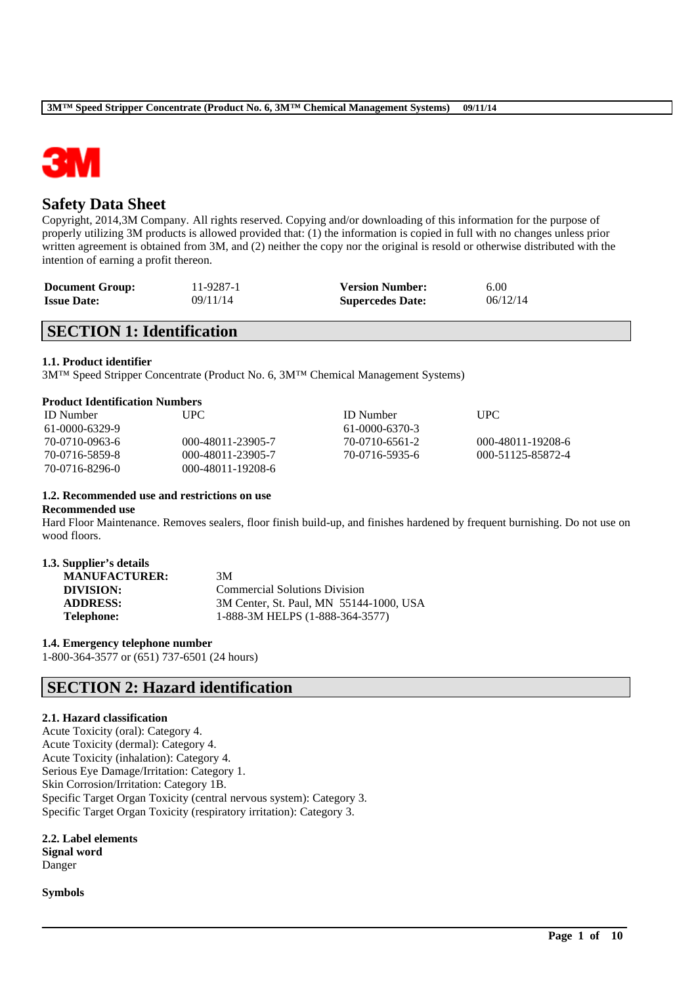

# **Safety Data Sheet**

Copyright, 2014,3M Company. All rights reserved. Copying and/or downloading of this information for the purpose of properly utilizing 3M products is allowed provided that: (1) the information is copied in full with no changes unless prior written agreement is obtained from 3M, and (2) neither the copy nor the original is resold or otherwise distributed with the intention of earning a profit thereon.

| <b>Document Group:</b> | 11-9287-1 | <b>Version Number:</b>  | 6.00     |
|------------------------|-----------|-------------------------|----------|
| <b>Issue Date:</b>     | 09/11/14  | <b>Supercedes Date:</b> | 06/12/14 |

# **SECTION 1: Identification**

### **1.1. Product identifier**

3M™ Speed Stripper Concentrate (Product No. 6, 3M™ Chemical Management Systems)

| Product Identification Numbers |                   |                |                   |  |  |
|--------------------------------|-------------------|----------------|-------------------|--|--|
| <b>ID</b> Number               | UPC.              | ID Number      | UPC               |  |  |
| $61-0000-6329-9$               |                   | 61-0000-6370-3 |                   |  |  |
| 70-0710-0963-6                 | 000-48011-23905-7 | 70-0710-6561-2 | 000-48011-19208-6 |  |  |
| 70-0716-5859-8                 | 000-48011-23905-7 | 70-0716-5935-6 | 000-51125-85872-4 |  |  |

## **1.2. Recommended use and restrictions on use**

70-0716-8296-0 000-48011-19208-6

### **Recommended use**

Hard Floor Maintenance. Removes sealers, floor finish build-up, and finishes hardened by frequent burnishing. Do not use on wood floors.

\_\_\_\_\_\_\_\_\_\_\_\_\_\_\_\_\_\_\_\_\_\_\_\_\_\_\_\_\_\_\_\_\_\_\_\_\_\_\_\_\_\_\_\_\_\_\_\_\_\_\_\_\_\_\_\_\_\_\_\_\_\_\_\_\_\_\_\_\_\_\_\_\_\_\_\_\_\_\_\_\_\_\_\_\_\_\_\_\_\_

| 1.3. Supplier's details |  |
|-------------------------|--|
|-------------------------|--|

| 3M                                      |
|-----------------------------------------|
| <b>Commercial Solutions Division</b>    |
| 3M Center, St. Paul, MN 55144-1000, USA |
| 1-888-3M HELPS (1-888-364-3577)         |
|                                         |

**1.4. Emergency telephone number**

1-800-364-3577 or (651) 737-6501 (24 hours)

# **SECTION 2: Hazard identification**

### **2.1. Hazard classification**

Acute Toxicity (oral): Category 4. Acute Toxicity (dermal): Category 4. Acute Toxicity (inhalation): Category 4. Serious Eye Damage/Irritation: Category 1. Skin Corrosion/Irritation: Category 1B. Specific Target Organ Toxicity (central nervous system): Category 3. Specific Target Organ Toxicity (respiratory irritation): Category 3.

**2.2. Label elements Signal word** Danger

**Symbols**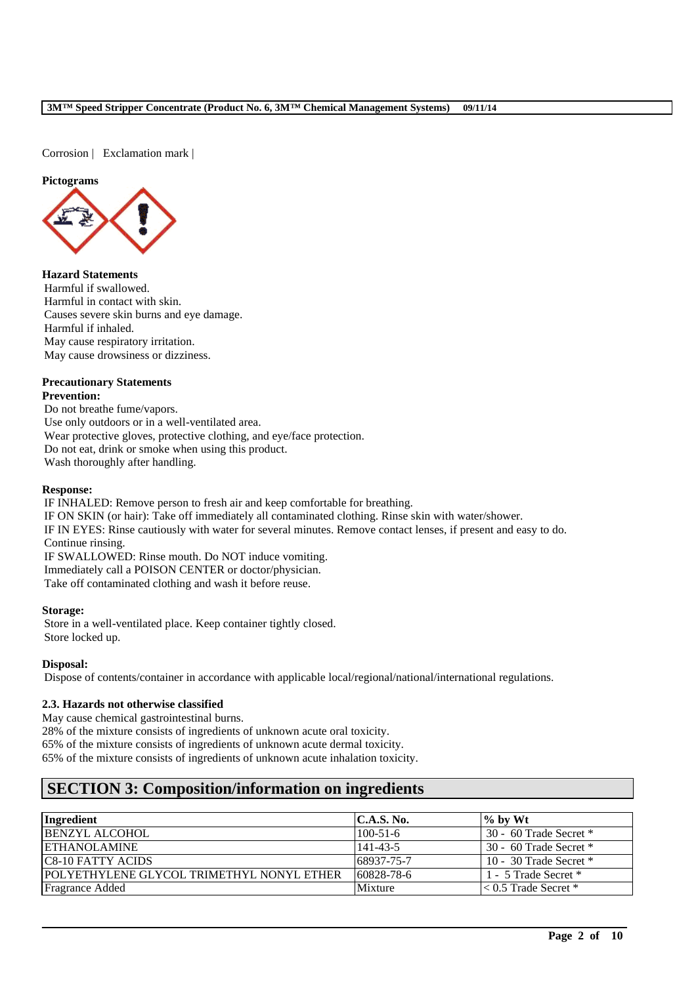Corrosion | Exclamation mark |

### **Pictograms**



**Hazard Statements** Harmful if swallowed. Harmful in contact with skin. Causes severe skin burns and eye damage. Harmful if inhaled. May cause respiratory irritation. May cause drowsiness or dizziness.

### **Precautionary Statements Prevention:**

Do not breathe fume/vapors. Use only outdoors or in a well-ventilated area. Wear protective gloves, protective clothing, and eye/face protection. Do not eat, drink or smoke when using this product. Wash thoroughly after handling.

### **Response:**

IF INHALED: Remove person to fresh air and keep comfortable for breathing. IF ON SKIN (or hair): Take off immediately all contaminated clothing. Rinse skin with water/shower. IF IN EYES: Rinse cautiously with water for several minutes. Remove contact lenses, if present and easy to do. Continue rinsing. IF SWALLOWED: Rinse mouth. Do NOT induce vomiting. Immediately call a POISON CENTER or doctor/physician. Take off contaminated clothing and wash it before reuse.

### **Storage:**

Store in a well-ventilated place. Keep container tightly closed. Store locked up.

### **Disposal:**

Dispose of contents/container in accordance with applicable local/regional/national/international regulations.

## **2.3. Hazards not otherwise classified**

May cause chemical gastrointestinal burns.

28% of the mixture consists of ingredients of unknown acute oral toxicity.

65% of the mixture consists of ingredients of unknown acute dermal toxicity.

65% of the mixture consists of ingredients of unknown acute inhalation toxicity.

# **SECTION 3: Composition/information on ingredients**

| Ingredient                                         | C.A.S. No.     | $\%$ by Wt                |
|----------------------------------------------------|----------------|---------------------------|
| <b>BENZYL ALCOHOL</b>                              | $100 - 51 - 6$ | 30 - 60 Trade Secret *    |
| <b>ETHANOLAMINE</b>                                | $141 - 43 - 5$ | 30 - 60 Trade Secret *    |
| <b>C8-10 FATTY ACIDS</b>                           | 68937-75-7     | 10 - 30 Trade Secret $*$  |
| <u> IPOLYETHYLENE GLYCOL TRIMETHYL NONYL ETHER</u> | 60828-78-6     | 1 - 5 Trade Secret *      |
| <b>Fragrance Added</b>                             | Mixture        | $\leq 0.5$ Trade Secret * |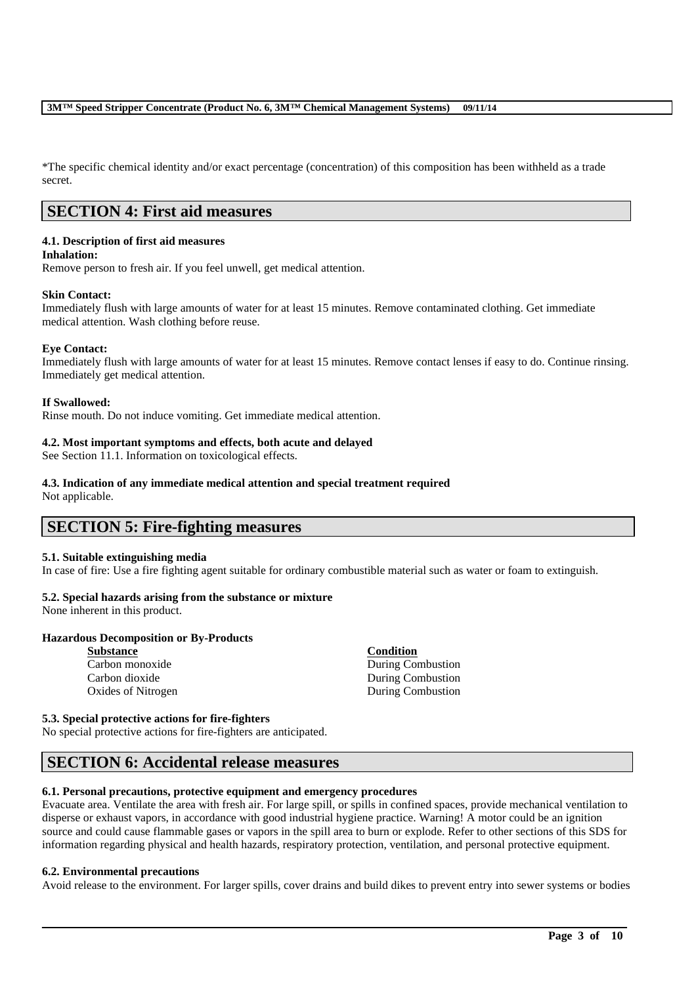\*The specific chemical identity and/or exact percentage (concentration) of this composition has been withheld as a trade secret.

# **SECTION 4: First aid measures**

# **4.1. Description of first aid measures**

### **Inhalation:**

Remove person to fresh air. If you feel unwell, get medical attention.

## **Skin Contact:**

Immediately flush with large amounts of water for at least 15 minutes. Remove contaminated clothing. Get immediate medical attention. Wash clothing before reuse.

### **Eye Contact:**

Immediately flush with large amounts of water for at least 15 minutes. Remove contact lenses if easy to do. Continue rinsing. Immediately get medical attention.

### **If Swallowed:**

Rinse mouth. Do not induce vomiting. Get immediate medical attention.

### **4.2. Most important symptoms and effects, both acute and delayed**

See Section 11.1. Information on toxicological effects.

# **4.3. Indication of any immediate medical attention and special treatment required**

Not applicable.

# **SECTION 5: Fire-fighting measures**

## **5.1. Suitable extinguishing media**

In case of fire: Use a fire fighting agent suitable for ordinary combustible material such as water or foam to extinguish.

## **5.2. Special hazards arising from the substance or mixture**

None inherent in this product.

## **Hazardous Decomposition or By-Products**

| During Combustion |
|-------------------|
| During Combustion |
| During Combustion |
|                   |

### **5.3. Special protective actions for fire-fighters**

No special protective actions for fire-fighters are anticipated.

# **SECTION 6: Accidental release measures**

## **6.1. Personal precautions, protective equipment and emergency procedures**

Evacuate area. Ventilate the area with fresh air. For large spill, or spills in confined spaces, provide mechanical ventilation to disperse or exhaust vapors, in accordance with good industrial hygiene practice. Warning! A motor could be an ignition source and could cause flammable gases or vapors in the spill area to burn or explode. Refer to other sections of this SDS for information regarding physical and health hazards, respiratory protection, ventilation, and personal protective equipment.

### **6.2. Environmental precautions**

Avoid release to the environment. For larger spills, cover drains and build dikes to prevent entry into sewer systems or bodies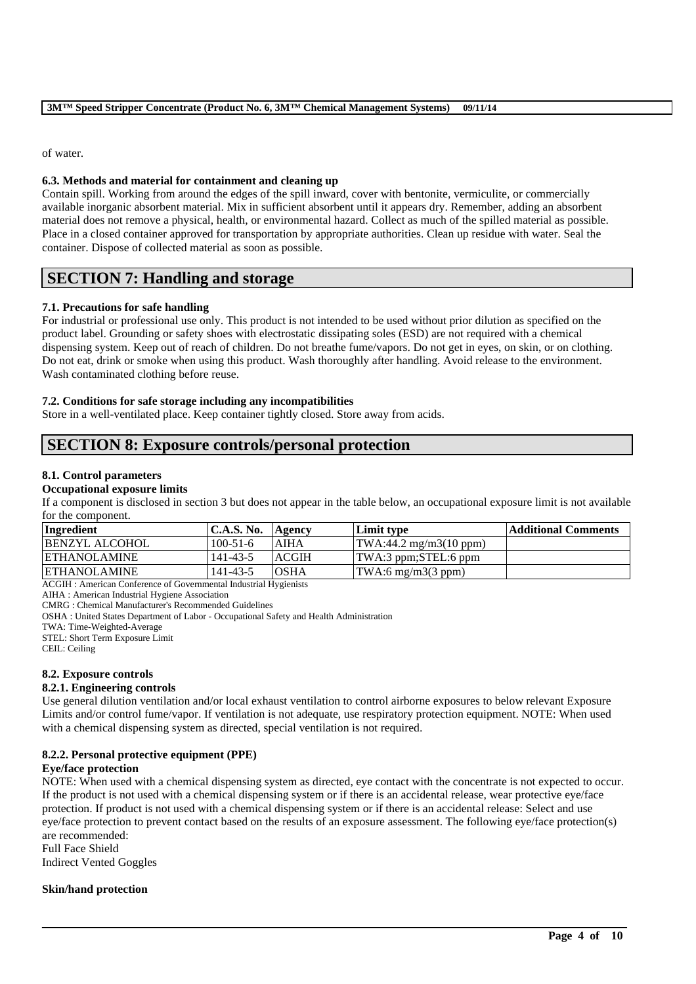of water.

## **6.3. Methods and material for containment and cleaning up**

Contain spill. Working from around the edges of the spill inward, cover with bentonite, vermiculite, or commercially available inorganic absorbent material. Mix in sufficient absorbent until it appears dry. Remember, adding an absorbent material does not remove a physical, health, or environmental hazard. Collect as much of the spilled material as possible. Place in a closed container approved for transportation by appropriate authorities. Clean up residue with water. Seal the container. Dispose of collected material as soon as possible.

# **SECTION 7: Handling and storage**

# **7.1. Precautions for safe handling**

For industrial or professional use only. This product is not intended to be used without prior dilution as specified on the product label. Grounding or safety shoes with electrostatic dissipating soles (ESD) are not required with a chemical dispensing system. Keep out of reach of children. Do not breathe fume/vapors. Do not get in eyes, on skin, or on clothing. Do not eat, drink or smoke when using this product. Wash thoroughly after handling. Avoid release to the environment. Wash contaminated clothing before reuse.

## **7.2. Conditions for safe storage including any incompatibilities**

Store in a well-ventilated place. Keep container tightly closed. Store away from acids.

# **SECTION 8: Exposure controls/personal protection**

# **8.1. Control parameters**

### **Occupational exposure limits**

If a component is disclosed in section 3 but does not appear in the table below, an occupational exposure limit is not available for the component.

| Ingredient            | <b>C.A.S. No.</b> | Agency       | Limit type                                      | <b>Additional Comments</b> |
|-----------------------|-------------------|--------------|-------------------------------------------------|----------------------------|
| <b>BENZYL ALCOHOL</b> | $100 - 51 - 6$    | AIHA         | $\text{TWA}:44.2 \text{ mg/m3}(10 \text{ ppm})$ |                            |
| <b>IETHANOLAMINE</b>  | 141-43-5          | <b>ACGIH</b> | TWA:3 ppm;STEL:6 ppm                            |                            |
| <b>ETHANOLAMINE</b>   | $141 - 43 - 5$    | <b>OSHA</b>  | $\text{TWA:6 mg/m3}(3 \text{ ppm})$             |                            |

ACGIH : American Conference of Governmental Industrial Hygienists

AIHA : American Industrial Hygiene Association

CMRG : Chemical Manufacturer's Recommended Guidelines

OSHA : United States Department of Labor - Occupational Safety and Health Administration

TWA: Time-Weighted-Average

STEL: Short Term Exposure Limit

CEIL: Ceiling

# **8.2. Exposure controls**

## **8.2.1. Engineering controls**

Use general dilution ventilation and/or local exhaust ventilation to control airborne exposures to below relevant Exposure Limits and/or control fume/vapor. If ventilation is not adequate, use respiratory protection equipment. NOTE: When used with a chemical dispensing system as directed, special ventilation is not required.

## **8.2.2. Personal protective equipment (PPE)**

## **Eye/face protection**

NOTE: When used with a chemical dispensing system as directed, eye contact with the concentrate is not expected to occur. If the product is not used with a chemical dispensing system or if there is an accidental release, wear protective eye/face protection. If product is not used with a chemical dispensing system or if there is an accidental release: Select and use eye/face protection to prevent contact based on the results of an exposure assessment. The following eye/face protection(s) are recommended:

\_\_\_\_\_\_\_\_\_\_\_\_\_\_\_\_\_\_\_\_\_\_\_\_\_\_\_\_\_\_\_\_\_\_\_\_\_\_\_\_\_\_\_\_\_\_\_\_\_\_\_\_\_\_\_\_\_\_\_\_\_\_\_\_\_\_\_\_\_\_\_\_\_\_\_\_\_\_\_\_\_\_\_\_\_\_\_\_\_\_

Full Face Shield Indirect Vented Goggles

# **Skin/hand protection**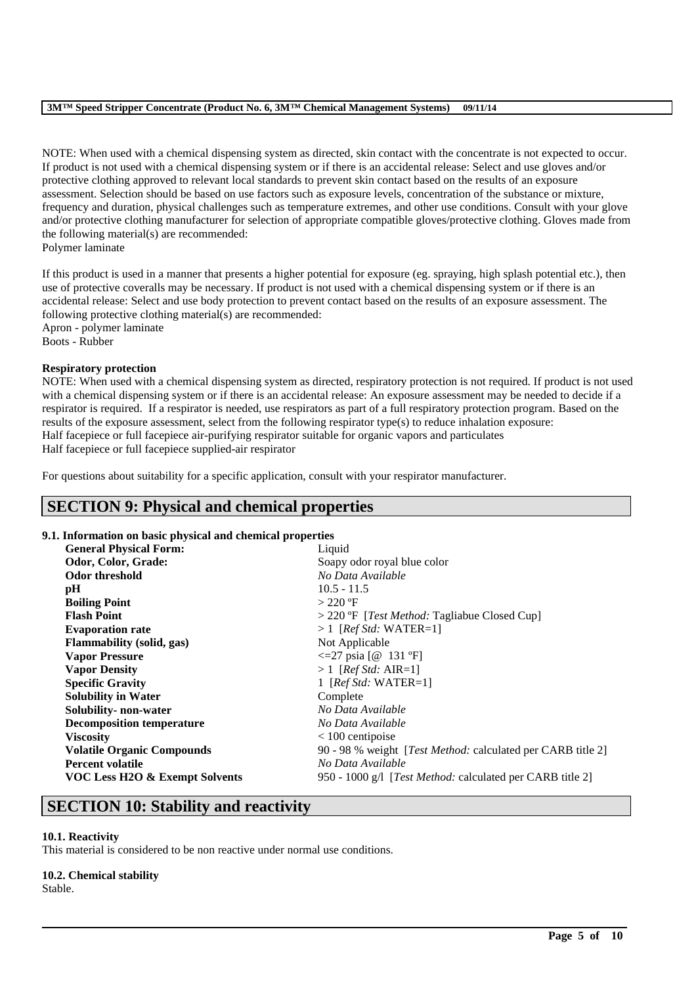NOTE: When used with a chemical dispensing system as directed, skin contact with the concentrate is not expected to occur. If product is not used with a chemical dispensing system or if there is an accidental release: Select and use gloves and/or protective clothing approved to relevant local standards to prevent skin contact based on the results of an exposure assessment. Selection should be based on use factors such as exposure levels, concentration of the substance or mixture, frequency and duration, physical challenges such as temperature extremes, and other use conditions. Consult with your glove and/or protective clothing manufacturer for selection of appropriate compatible gloves/protective clothing. Gloves made from the following material(s) are recommended:

Polymer laminate

If this product is used in a manner that presents a higher potential for exposure (eg. spraying, high splash potential etc.), then use of protective coveralls may be necessary. If product is not used with a chemical dispensing system or if there is an accidental release: Select and use body protection to prevent contact based on the results of an exposure assessment. The following protective clothing material(s) are recommended: Apron - polymer laminate

Boots - Rubber

## **Respiratory protection**

NOTE: When used with a chemical dispensing system as directed, respiratory protection is not required. If product is not used with a chemical dispensing system or if there is an accidental release: An exposure assessment may be needed to decide if a respirator is required. If a respirator is needed, use respirators as part of a full respiratory protection program. Based on the results of the exposure assessment, select from the following respirator type(s) to reduce inhalation exposure: Half facepiece or full facepiece air-purifying respirator suitable for organic vapors and particulates Half facepiece or full facepiece supplied-air respirator

For questions about suitability for a specific application, consult with your respirator manufacturer.

# **SECTION 9: Physical and chemical properties**

## **9.1. Information on basic physical and chemical properties**

| <b>General Physical Form:</b>     | Liquid                                                              |
|-----------------------------------|---------------------------------------------------------------------|
| Odor, Color, Grade:               | Soapy odor royal blue color                                         |
| Odor threshold                    | No Data Available                                                   |
| pH                                | $10.5 - 11.5$                                                       |
| <b>Boiling Point</b>              | $>$ 220 °F                                                          |
| <b>Flash Point</b>                | $>$ 220 °F [ <i>Test Method:</i> Tagliabue Closed Cup]              |
| <b>Evaporation rate</b>           | $>1$ [Ref Std: WATER=1]                                             |
| <b>Flammability</b> (solid, gas)  | Not Applicable                                                      |
| <b>Vapor Pressure</b>             | $\leq$ 27 psia [@ 131 °F]                                           |
| <b>Vapor Density</b>              | $>1$ [Ref Std: AIR=1]                                               |
| <b>Specific Gravity</b>           | 1 [ $Ref\,Std: \, WATER=1$ ]                                        |
| <b>Solubility in Water</b>        | Complete                                                            |
| Solubility- non-water             | No Data Available                                                   |
| <b>Decomposition temperature</b>  | No Data Available                                                   |
| <b>Viscosity</b>                  | $< 100$ centipoise                                                  |
| <b>Volatile Organic Compounds</b> | 90 - 98 % weight [ <i>Test Method:</i> calculated per CARB title 2] |
| <b>Percent volatile</b>           | No Data Available                                                   |
| VOC Less H2O & Exempt Solvents    | 950 - 1000 g/l [ <i>Test Method:</i> calculated per CARB title 2]   |

\_\_\_\_\_\_\_\_\_\_\_\_\_\_\_\_\_\_\_\_\_\_\_\_\_\_\_\_\_\_\_\_\_\_\_\_\_\_\_\_\_\_\_\_\_\_\_\_\_\_\_\_\_\_\_\_\_\_\_\_\_\_\_\_\_\_\_\_\_\_\_\_\_\_\_\_\_\_\_\_\_\_\_\_\_\_\_\_\_\_

# **SECTION 10: Stability and reactivity**

## **10.1. Reactivity**

This material is considered to be non reactive under normal use conditions.

## **10.2. Chemical stability**

Stable.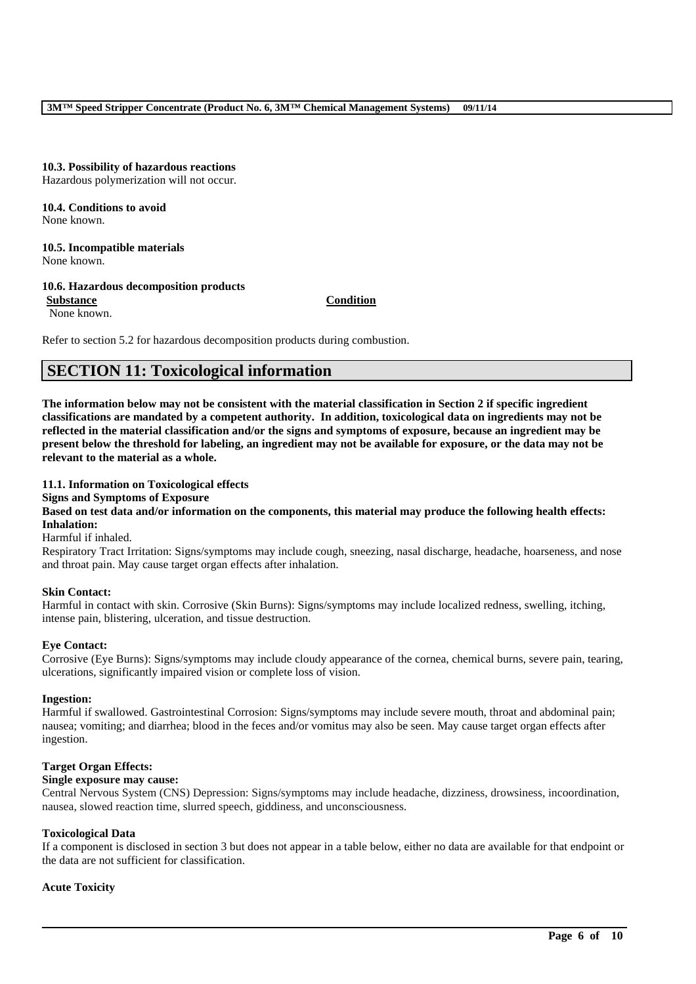# **10.3. Possibility of hazardous reactions**

Hazardous polymerization will not occur.

**10.4. Conditions to avoid** None known.

# **10.5. Incompatible materials**

None known.

## **10.6. Hazardous decomposition products**

**Substance Condition** None known.

Refer to section 5.2 for hazardous decomposition products during combustion.

# **SECTION 11: Toxicological information**

**The information below may not be consistent with the material classification in Section 2 if specific ingredient classifications are mandated by a competent authority. In addition, toxicological data on ingredients may not be reflected in the material classification and/or the signs and symptoms of exposure, because an ingredient may be present below the threshold for labeling, an ingredient may not be available for exposure, or the data may not be relevant to the material as a whole.**

## **11.1. Information on Toxicological effects**

### **Signs and Symptoms of Exposure**

**Based on test data and/or information on the components, this material may produce the following health effects: Inhalation:**

Harmful if inhaled.

Respiratory Tract Irritation: Signs/symptoms may include cough, sneezing, nasal discharge, headache, hoarseness, and nose and throat pain. May cause target organ effects after inhalation.

### **Skin Contact:**

Harmful in contact with skin. Corrosive (Skin Burns): Signs/symptoms may include localized redness, swelling, itching, intense pain, blistering, ulceration, and tissue destruction.

## **Eye Contact:**

Corrosive (Eye Burns): Signs/symptoms may include cloudy appearance of the cornea, chemical burns, severe pain, tearing, ulcerations, significantly impaired vision or complete loss of vision.

### **Ingestion:**

Harmful if swallowed. Gastrointestinal Corrosion: Signs/symptoms may include severe mouth, throat and abdominal pain; nausea; vomiting; and diarrhea; blood in the feces and/or vomitus may also be seen. May cause target organ effects after ingestion.

### **Target Organ Effects:**

### **Single exposure may cause:**

Central Nervous System (CNS) Depression: Signs/symptoms may include headache, dizziness, drowsiness, incoordination, nausea, slowed reaction time, slurred speech, giddiness, and unconsciousness.

### **Toxicological Data**

If a component is disclosed in section 3 but does not appear in a table below, either no data are available for that endpoint or the data are not sufficient for classification.

\_\_\_\_\_\_\_\_\_\_\_\_\_\_\_\_\_\_\_\_\_\_\_\_\_\_\_\_\_\_\_\_\_\_\_\_\_\_\_\_\_\_\_\_\_\_\_\_\_\_\_\_\_\_\_\_\_\_\_\_\_\_\_\_\_\_\_\_\_\_\_\_\_\_\_\_\_\_\_\_\_\_\_\_\_\_\_\_\_\_

## **Acute Toxicity**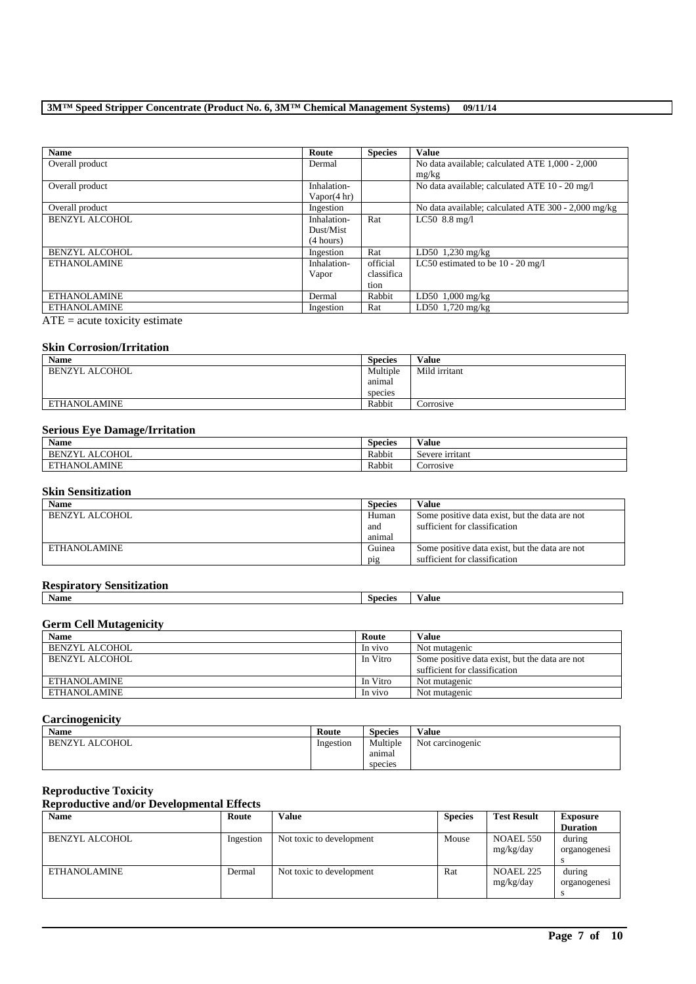| <b>Name</b>           | Route          | <b>Species</b> | <b>Value</b>                                        |
|-----------------------|----------------|----------------|-----------------------------------------------------|
| Overall product       | Dermal         |                | No data available; calculated ATE 1,000 - 2,000     |
|                       |                |                | mg/kg                                               |
| Overall product       | Inhalation-    |                | No data available; calculated ATE 10 - 20 mg/l      |
|                       | Vapor $(4 hr)$ |                |                                                     |
| Overall product       | Ingestion      |                | No data available; calculated ATE 300 - 2,000 mg/kg |
| BENZYL ALCOHOL        | Inhalation-    | Rat            | $LC50$ 8.8 mg/l                                     |
|                       | Dust/Mist      |                |                                                     |
|                       | (4 hours)      |                |                                                     |
| <b>BENZYL ALCOHOL</b> | Ingestion      | Rat            | $LD50$ 1,230 mg/kg                                  |
| ETHANOLAMINE          | Inhalation-    | official       | LC50 estimated to be $10 - 20$ mg/l                 |
|                       | Vapor          | classifica     |                                                     |
|                       |                | tion           |                                                     |
| <b>ETHANOLAMINE</b>   | Dermal         | Rabbit         | LD50 $1,000$ mg/kg                                  |
| <b>ETHANOLAMINE</b>   | Ingestion      | Rat            | LD50 1,720 mg/kg                                    |

 $\overline{ATE}$  = acute toxicity estimate

### **Skin Corrosion/Irritation**

| <b>Name</b>    | <b>Species</b> | Value         |
|----------------|----------------|---------------|
| BENZYL ALCOHOL | Multiple       | Mild irritant |
|                | anımal         |               |
|                | species        |               |
| ETHANOLAMINE   | Rabbit         | Corrosive     |

## **Serious Eye Damage/Irritation**

| $\bullet$ $\bullet$<br>Name          | <b>Species</b> | $-1$<br>⁄ alue       |
|--------------------------------------|----------------|----------------------|
| <b>ALCOHOL</b><br><b>BENZYI</b><br>. | Rabbit         | ∽<br>Severe irritant |
| AMINE<br>ETHANOL,                    | Rabbit         | Corrosive            |

# **Skin Sensitization**

| <b>Name</b>    | <b>Species</b> | Value                                          |
|----------------|----------------|------------------------------------------------|
| BENZYL ALCOHOL | Human          | Some positive data exist, but the data are not |
|                | and            | sufficient for classification                  |
|                | animal         |                                                |
| ETHANOLAMINE   | Guinea         | Some positive data exist, but the data are not |
|                | pig            | sufficient for classification                  |

# **Respiratory Sensitization**

| Name | species | ⁄ alue |
|------|---------|--------|
|      |         |        |

# **Germ Cell Mutagenicity**

| <b>Name</b>    | Route    | Value                                          |
|----------------|----------|------------------------------------------------|
| BENZYL ALCOHOL | In vivo  | Not mutagenic                                  |
| BENZYL ALCOHOL | In Vitro | Some positive data exist, but the data are not |
|                |          | sufficient for classification                  |
| ETHANOLAMINE   | In Vitro | Not mutagenic                                  |
| ETHANOLAMINE   | In vivo  | Not mutagenic                                  |

# **Carcinogenicity**

| Name                  | Route     | <b>Species</b> | Value            |
|-----------------------|-----------|----------------|------------------|
| <b>BENZYL ALCOHOL</b> | Ingestion | Multiple       | Not carcinogenic |
|                       |           | anımal         |                  |
|                       |           | species        |                  |

# **Reproductive Toxicity**

# **Reproductive and/or Developmental Effects**

| <b>Name</b>    | Route     | <b>Value</b>             | <b>Species</b> | <b>Test Result</b> | <b>Exposure</b> |
|----------------|-----------|--------------------------|----------------|--------------------|-----------------|
|                |           |                          |                |                    | <b>Duration</b> |
| BENZYL ALCOHOL | Ingestion | Not toxic to development | Mouse          | NOAEL 550          | during          |
|                |           |                          |                | mg/kg/day          | organogenesi    |
|                |           |                          |                |                    |                 |
| ETHANOLAMINE   | Dermal    | Not toxic to development | Rat            | NOAEL 225          | during          |
|                |           |                          |                | mg/kg/day          | organogenesi    |
|                |           |                          |                |                    |                 |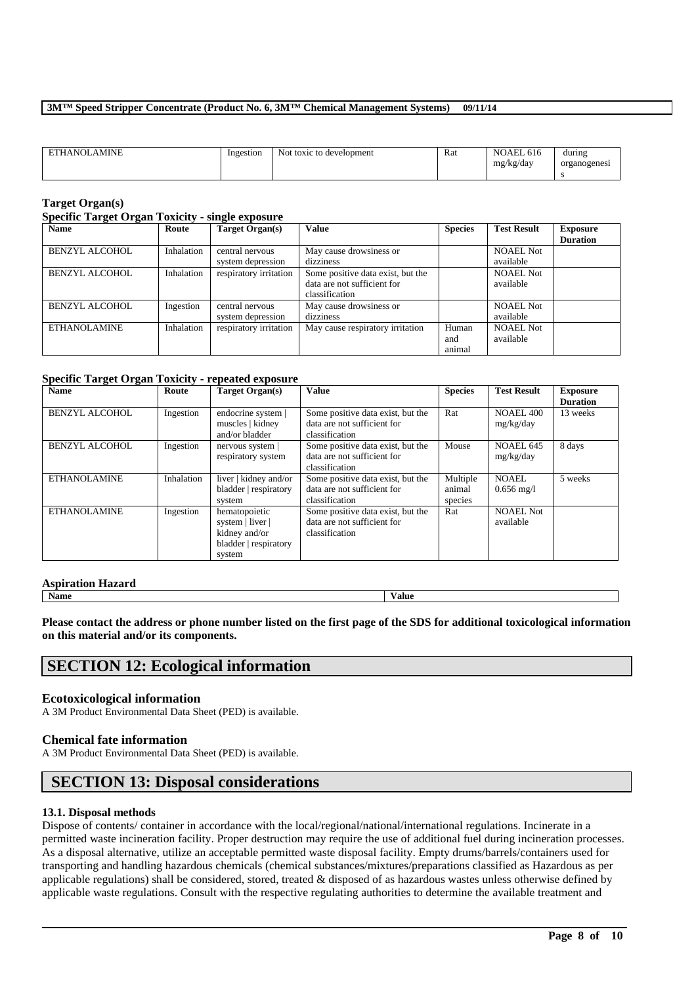| <b>ETHANOLAMINE</b> | Ingestion | Not toxic to development | Rat | NOAEL 616 | during       |
|---------------------|-----------|--------------------------|-----|-----------|--------------|
|                     |           |                          |     | mg/kg/day | organogenesi |
|                     |           |                          |     |           |              |

### **Target Organ(s)**

#### **Specific Target Organ Toxicity - single exposure**

| <b>Name</b>           | Route      | Target Organ(s)        | <b>Value</b>                      | <b>Species</b> | <b>Test Result</b> | <b>Exposure</b> |
|-----------------------|------------|------------------------|-----------------------------------|----------------|--------------------|-----------------|
|                       |            |                        |                                   |                |                    | <b>Duration</b> |
| <b>BENZYL ALCOHOL</b> | Inhalation | central nervous        | May cause drowsiness or           |                | <b>NOAEL Not</b>   |                 |
|                       |            | system depression      | dizziness                         |                | available          |                 |
| <b>BENZYL ALCOHOL</b> | Inhalation | respiratory irritation | Some positive data exist, but the |                | <b>NOAEL Not</b>   |                 |
|                       |            |                        | data are not sufficient for       |                | available          |                 |
|                       |            |                        | classification                    |                |                    |                 |
| <b>BENZYL ALCOHOL</b> | Ingestion  | central nervous        | May cause drowsiness or           |                | <b>NOAEL Not</b>   |                 |
|                       |            | system depression      | dizziness                         |                | available          |                 |
| <b>ETHANOLAMINE</b>   | Inhalation | respiratory irritation | May cause respiratory irritation  | Human          | <b>NOAEL Not</b>   |                 |
|                       |            |                        |                                   | and            | available          |                 |
|                       |            |                        |                                   | animal         |                    |                 |

# **Specific Target Organ Toxicity - repeated exposure**

| <b>Name</b>           | Route      | Target Organ(s)       | Value                             | <b>Species</b> | <b>Test Result</b>   | <b>Exposure</b> |
|-----------------------|------------|-----------------------|-----------------------------------|----------------|----------------------|-----------------|
|                       |            |                       |                                   |                |                      | <b>Duration</b> |
| <b>BENZYL ALCOHOL</b> | Ingestion  | endocrine system      | Some positive data exist, but the | Rat            | <b>NOAEL 400</b>     | 13 weeks        |
|                       |            | muscles   kidney      | data are not sufficient for       |                | mg/kg/day            |                 |
|                       |            | and/or bladder        | classification                    |                |                      |                 |
| <b>BENZYL ALCOHOL</b> | Ingestion  | $n$ ervous system     | Some positive data exist, but the | Mouse          | NOAEL 645            | 8 days          |
|                       |            | respiratory system    | data are not sufficient for       |                | mg/kg/day            |                 |
|                       |            |                       | classification                    |                |                      |                 |
| <b>ETHANOLAMINE</b>   | Inhalation | liver   kidney and/or | Some positive data exist, but the | Multiple       | NOAEL.               | 5 weeks         |
|                       |            | bladder   respiratory | data are not sufficient for       | animal         | $0.656 \text{ mg}/1$ |                 |
|                       |            | system                | classification                    | species        |                      |                 |
| <b>ETHANOLAMINE</b>   | Ingestion  | hematopoietic         | Some positive data exist, but the | Rat            | <b>NOAEL Not</b>     |                 |
|                       |            | system   liver        | data are not sufficient for       |                | available            |                 |
|                       |            | kidney and/or         | classification                    |                |                      |                 |
|                       |            | bladder   respiratory |                                   |                |                      |                 |
|                       |            | system                |                                   |                |                      |                 |

### **Aspiration Hazard**

**Name Value**

**Please contact the address or phone number listed on the first page of the SDS for additional toxicological information on this material and/or its components.**

# **SECTION 12: Ecological information**

### **Ecotoxicological information**

A 3M Product Environmental Data Sheet (PED) is available.

### **Chemical fate information**

A 3M Product Environmental Data Sheet (PED) is available.

# **SECTION 13: Disposal considerations**

### **13.1. Disposal methods**

Dispose of contents/ container in accordance with the local/regional/national/international regulations. Incinerate in a permitted waste incineration facility. Proper destruction may require the use of additional fuel during incineration processes. As a disposal alternative, utilize an acceptable permitted waste disposal facility. Empty drums/barrels/containers used for transporting and handling hazardous chemicals (chemical substances/mixtures/preparations classified as Hazardous as per applicable regulations) shall be considered, stored, treated & disposed of as hazardous wastes unless otherwise defined by applicable waste regulations. Consult with the respective regulating authorities to determine the available treatment and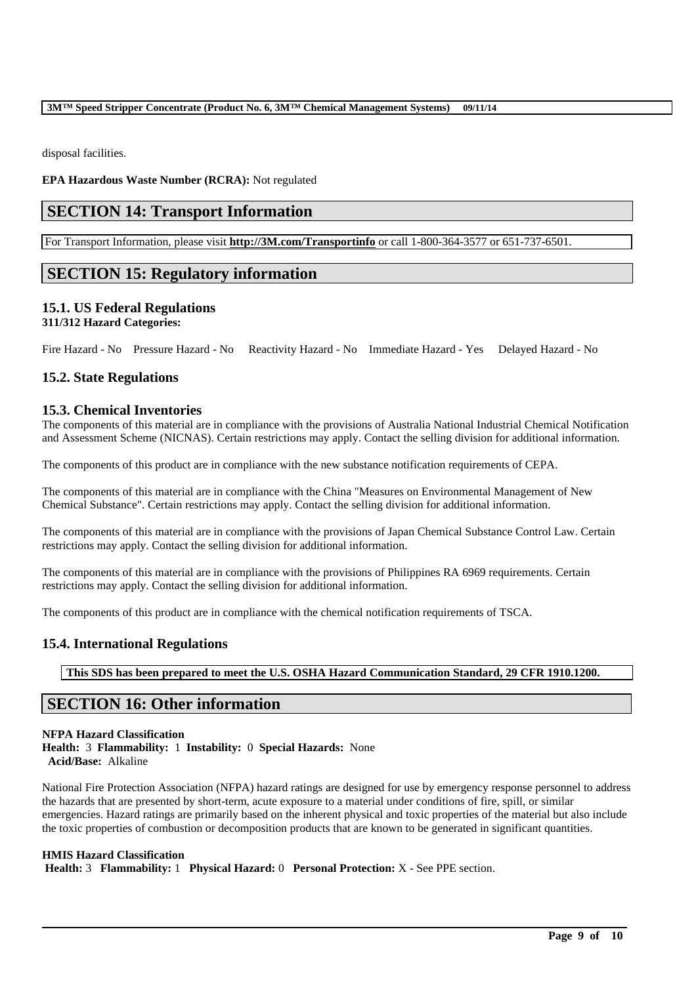disposal facilities.

**EPA Hazardous Waste Number (RCRA):** Not regulated

# **SECTION 14: Transport Information**

For Transport Information, please visit **http://3M.com/Transportinfo** or call 1-800-364-3577 or 651-737-6501.

# **SECTION 15: Regulatory information**

# **15.1. US Federal Regulations**

# **311/312 Hazard Categories:**

Fire Hazard - No Pressure Hazard - No Reactivity Hazard - No Immediate Hazard - Yes Delayed Hazard - No

# **15.2. State Regulations**

## **15.3. Chemical Inventories**

The components of this material are in compliance with the provisions of Australia National Industrial Chemical Notification and Assessment Scheme (NICNAS). Certain restrictions may apply. Contact the selling division for additional information.

The components of this product are in compliance with the new substance notification requirements of CEPA.

The components of this material are in compliance with the China "Measures on Environmental Management of New Chemical Substance". Certain restrictions may apply. Contact the selling division for additional information.

The components of this material are in compliance with the provisions of Japan Chemical Substance Control Law. Certain restrictions may apply. Contact the selling division for additional information.

The components of this material are in compliance with the provisions of Philippines RA 6969 requirements. Certain restrictions may apply. Contact the selling division for additional information.

The components of this product are in compliance with the chemical notification requirements of TSCA.

# **15.4. International Regulations**

**This SDS has been prepared to meet the U.S. OSHA Hazard Communication Standard, 29 CFR 1910.1200.**

# **SECTION 16: Other information**

### **NFPA Hazard Classification Health:** 3 **Flammability:** 1 **Instability:** 0 **Special Hazards:** None **Acid/Base:** Alkaline

National Fire Protection Association (NFPA) hazard ratings are designed for use by emergency response personnel to address the hazards that are presented by short-term, acute exposure to a material under conditions of fire, spill, or similar emergencies. Hazard ratings are primarily based on the inherent physical and toxic properties of the material but also include the toxic properties of combustion or decomposition products that are known to be generated in significant quantities.

\_\_\_\_\_\_\_\_\_\_\_\_\_\_\_\_\_\_\_\_\_\_\_\_\_\_\_\_\_\_\_\_\_\_\_\_\_\_\_\_\_\_\_\_\_\_\_\_\_\_\_\_\_\_\_\_\_\_\_\_\_\_\_\_\_\_\_\_\_\_\_\_\_\_\_\_\_\_\_\_\_\_\_\_\_\_\_\_\_\_

## **HMIS Hazard Classification**

**Health:** 3 **Flammability:** 1 **Physical Hazard:** 0 **Personal Protection:** X - See PPE section.